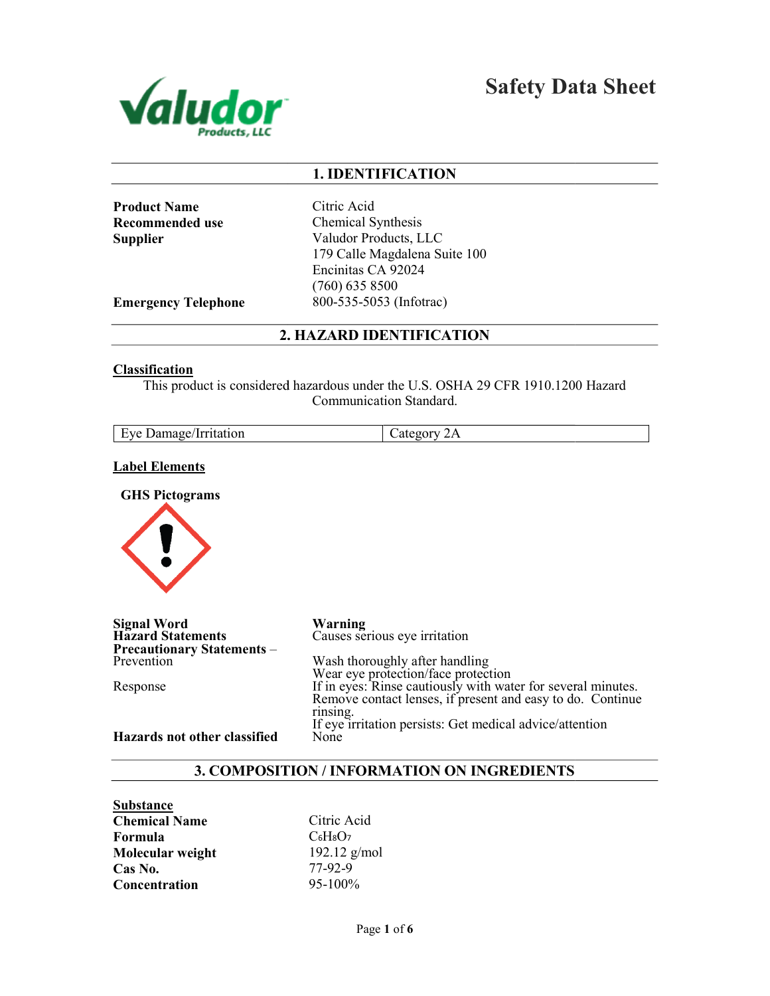

Safety Data Sheet

# 1. IDENTIFICATION

Product Name Recommended use **Supplier** 

Citric Acid Chemical Synthesis Valudor Products, LLC 179 Calle Magdalena Suite 100 Encinitas CA 92024 (760) 635 8500 800-535-5053 (Infotrac)

Emergency Telephone

2. HAZARD IDENTIFICATION

#### **Classification**

This product is considered hazardous under the U.S. OSHA 29 CFR 1910.1200 Hazard<br>Communication Standard.

| Eve Damage/Irritation | $\mathcal{L}$ ategory<br>∠∡ ⊾ |
|-----------------------|-------------------------------|
|                       |                               |

## Label Elements

GHS Pictograms



| <b>Signal Word</b><br><b>Hazard Statements</b> | Warning<br>Causes serious eye irritation                     |
|------------------------------------------------|--------------------------------------------------------------|
| <b>Precautionary Statements -</b>              |                                                              |
| Prevention                                     | Wash thoroughly after handling                               |
|                                                | Wear eye protection/face protection                          |
| Response                                       | If in eyes: Rinse cautiously with water for several minutes. |
|                                                | Remove contact lenses, if present and easy to do. Continue   |
|                                                | rinsing.                                                     |
|                                                | If eye irritation persists: Get medical advice/attention     |
| Hazards not other classified                   | None                                                         |

# 3. COMPOSITION / INFORMATION ON INGREDIENTS

Substance Chemical Name Formula Molecular weight Cas No. **Concentration** 

Citric Acid  $C_6H_8O_7$ 192.12 g/mol 77-92-9 95-100%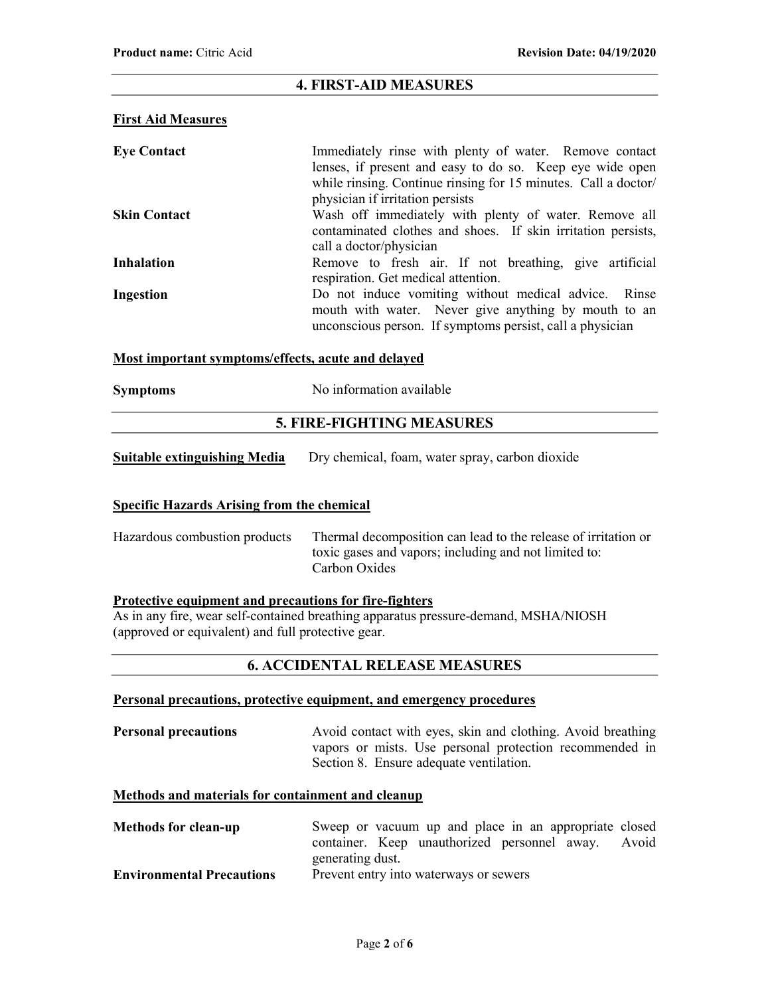# 4. FIRST-AID MEASURES

#### First Aid Measures

| <b>Eye Contact</b>  | Immediately rinse with plenty of water. Remove contact<br>lenses, if present and easy to do so. Keep eye wide open<br>while rinsing. Continue rinsing for 15 minutes. Call a doctor/<br>physician if irritation persists |
|---------------------|--------------------------------------------------------------------------------------------------------------------------------------------------------------------------------------------------------------------------|
| <b>Skin Contact</b> | Wash off immediately with plenty of water. Remove all<br>contaminated clothes and shoes. If skin irritation persists,<br>call a doctor/physician                                                                         |
| <b>Inhalation</b>   | Remove to fresh air. If not breathing, give artificial<br>respiration. Get medical attention.                                                                                                                            |
| Ingestion           | Do not induce vomiting without medical advice. Rinse<br>mouth with water. Never give anything by mouth to an<br>unconscious person. If symptoms persist, call a physician                                                |

## Most important symptoms/effects, acute and delayed

| <b>Symptoms</b> | No information available |
|-----------------|--------------------------|
|-----------------|--------------------------|

# 5. FIRE-FIGHTING MEASURES

| <b>Suitable extinguishing Media</b> | Dry chemical, foam, water spray, carbon dioxide |
|-------------------------------------|-------------------------------------------------|
|-------------------------------------|-------------------------------------------------|

# Specific Hazards Arising from the chemical

| Hazardous combustion products | Thermal decomposition can lead to the release of irritation or |
|-------------------------------|----------------------------------------------------------------|
|                               | toxic gases and vapors; including and not limited to:          |
|                               | Carbon Oxides                                                  |

#### Protective equipment and precautions for fire-fighters

As in any fire, wear self-contained breathing apparatus pressure-demand, MSHA/NIOSH (approved or equivalent) and full protective gear.

# 6. ACCIDENTAL RELEASE MEASURES

# Personal precautions, protective equipment, and emergency procedures

**Personal precautions** Avoid contact with eyes, skin and clothing. Avoid breathing vapors or mists. Use personal protection recommended in Section 8. Ensure adequate ventilation.

## Methods and materials for containment and cleanup

| <b>Methods for clean-up</b>      | Sweep or vacuum up and place in an appropriate closed |
|----------------------------------|-------------------------------------------------------|
|                                  | container. Keep unauthorized personnel away. Avoid    |
|                                  | generating dust.                                      |
| <b>Environmental Precautions</b> | Prevent entry into waterways or sewers                |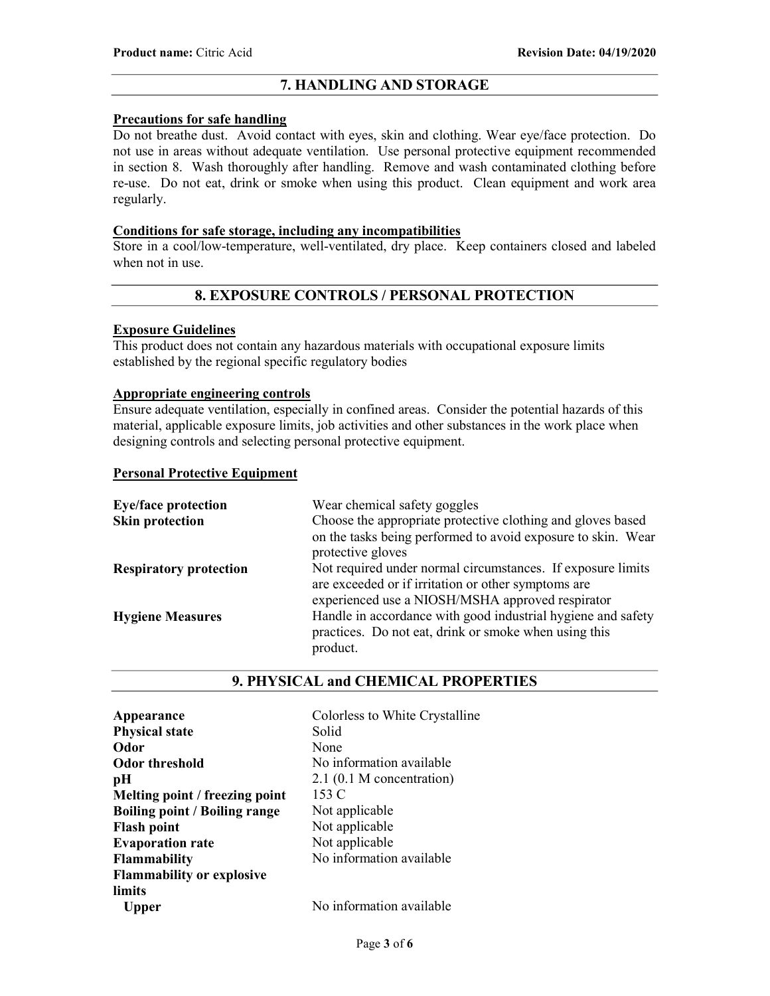# 7. HANDLING AND STORAGE

## Precautions for safe handling

Do not breathe dust. Avoid contact with eyes, skin and clothing. Wear eye/face protection. Do not use in areas without adequate ventilation. Use personal protective equipment recommended in section 8. Wash thoroughly after handling. Remove and wash contaminated clothing before re-use. Do not eat, drink or smoke when using this product. Clean equipment and work area regularly.

## Conditions for safe storage, including any incompatibilities

Store in a cool/low-temperature, well-ventilated, dry place. Keep containers closed and labeled when not in use.

# 8. EXPOSURE CONTROLS / PERSONAL PROTECTION

## Exposure Guidelines

This product does not contain any hazardous materials with occupational exposure limits established by the regional specific regulatory bodies

# Appropriate engineering controls

Ensure adequate ventilation, especially in confined areas. Consider the potential hazards of this material, applicable exposure limits, job activities and other substances in the work place when designing controls and selecting personal protective equipment.

## Personal Protective Equipment

| <b>Eye/face protection</b>    | Wear chemical safety goggles                                                                                                                                           |
|-------------------------------|------------------------------------------------------------------------------------------------------------------------------------------------------------------------|
| <b>Skin protection</b>        | Choose the appropriate protective clothing and gloves based<br>on the tasks being performed to avoid exposure to skin. Wear<br>protective gloves                       |
| <b>Respiratory protection</b> | Not required under normal circumstances. If exposure limits<br>are exceeded or if irritation or other symptoms are<br>experienced use a NIOSH/MSHA approved respirator |
| <b>Hygiene Measures</b>       | Handle in accordance with good industrial hygiene and safety<br>practices. Do not eat, drink or smoke when using this<br>product.                                      |

# 9. PHYSICAL and CHEMICAL PROPERTIES

| Colorless to White Crystalline |
|--------------------------------|
| Solid                          |
| None                           |
| No information available       |
| $2.1$ (0.1 M concentration)    |
| 153 C                          |
| Not applicable                 |
| Not applicable                 |
| Not applicable                 |
| No information available       |
|                                |
|                                |
| No information available       |
|                                |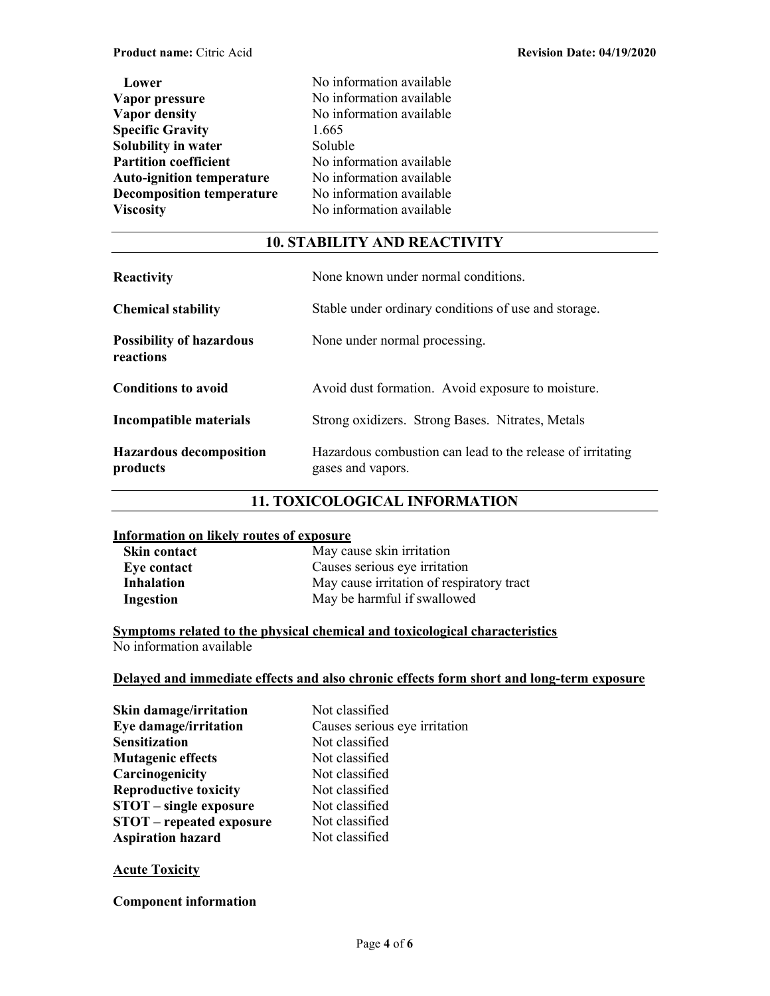| Lower                            |  |
|----------------------------------|--|
| Vapor pressure                   |  |
| <b>Vapor density</b>             |  |
| <b>Specific Gravity</b>          |  |
| Solubility in water              |  |
| <b>Partition coefficient</b>     |  |
| <b>Auto-ignition temperature</b> |  |
| <b>Decomposition temperature</b> |  |
| <b>Viscosity</b>                 |  |

No information available No information available No information available 1.665 Soluble No information available No information available No information available No information available

# 10. STABILITY AND REACTIVITY

| <b>Reactivity</b>                            | None known under normal conditions.                                             |
|----------------------------------------------|---------------------------------------------------------------------------------|
| <b>Chemical stability</b>                    | Stable under ordinary conditions of use and storage.                            |
| <b>Possibility of hazardous</b><br>reactions | None under normal processing.                                                   |
| <b>Conditions to avoid</b>                   | Avoid dust formation. Avoid exposure to moisture.                               |
| Incompatible materials                       | Strong oxidizers. Strong Bases. Nitrates, Metals                                |
| <b>Hazardous decomposition</b><br>products   | Hazardous combustion can lead to the release of irritating<br>gases and vapors. |

# 11. TOXICOLOGICAL INFORMATION

## Information on likely routes of exposure

| <b>Skin contact</b> | May cause skin irritation                 |
|---------------------|-------------------------------------------|
| Eye contact         | Causes serious eye irritation             |
| <b>Inhalation</b>   | May cause irritation of respiratory tract |
| Ingestion           | May be harmful if swallowed               |

Symptoms related to the physical chemical and toxicological characteristics No information available

# Delayed and immediate effects and also chronic effects form short and long-term exposure

| Not classified                |
|-------------------------------|
| Causes serious eye irritation |
| Not classified                |
| Not classified                |
| Not classified                |
| Not classified                |
| Not classified                |
| Not classified                |
| Not classified                |
|                               |

## **Acute Toxicity**

Component information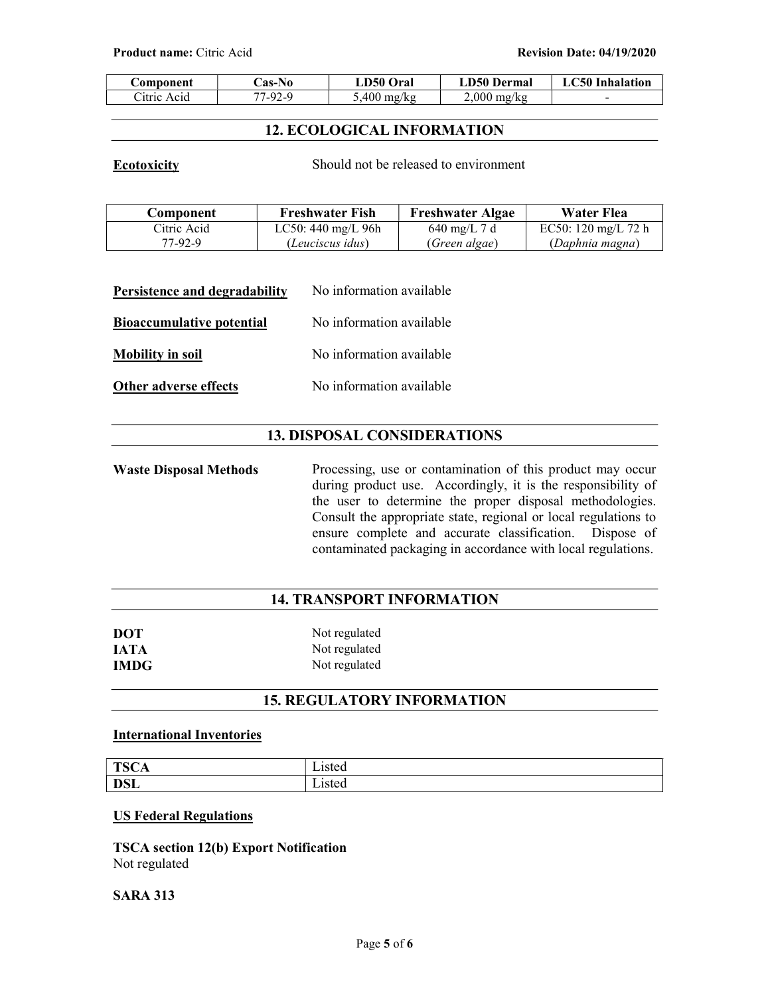| omponent    | <b>Cas-No</b> | <b>LD50 Oral</b> | <b>LD50 Dermal</b> | LC50 Inhalation |
|-------------|---------------|------------------|--------------------|-----------------|
| Citric Acid | 77-92-9       | $5,400$ mg/kg    | $2.000$ mg/kg      |                 |

# 12. ECOLOGICAL INFORMATION

Ecotoxicity Should not be released to environment

| Component   | <b>Freshwater Fish</b> | <b>Freshwater Algae</b> | Water Flea          |
|-------------|------------------------|-------------------------|---------------------|
| Citric Acid | $LC50:440$ mg/L 96h    | 640 mg/L 7 d            | EC50: 120 mg/L 72 h |
| 77-92-9     | (Leuciscus idus)       | (Green algae)           | (Daphnia magna)     |

| Persistence and degradability    | No information available |
|----------------------------------|--------------------------|
| <b>Bioaccumulative potential</b> | No information available |
| <b>Mobility in soil</b>          | No information available |
| Other adverse effects            | No information available |

# 13. DISPOSAL CONSIDERATIONS

Waste Disposal Methods Processing, use or contamination of this product may occur during product use. Accordingly, it is the responsibility of the user to determine the proper disposal methodologies. Consult the appropriate state, regional or local regulations to ensure complete and accurate classification. Dispose of contaminated packaging in accordance with local regulations.

# 14. TRANSPORT INFORMATION

| <b>DOT</b>  | Not regulated |
|-------------|---------------|
| <b>IATA</b> | Not regulated |
| <b>IMDG</b> | Not regulated |

# 15. REGULATORY INFORMATION

# International Inventories

| <b>TSCA</b> | arec<br>isteg  |
|-------------|----------------|
| <b>DSL</b>  | Listed<br>---- |

## US Federal Regulations

TSCA section 12(b) Export Notification Not regulated

## SARA 313